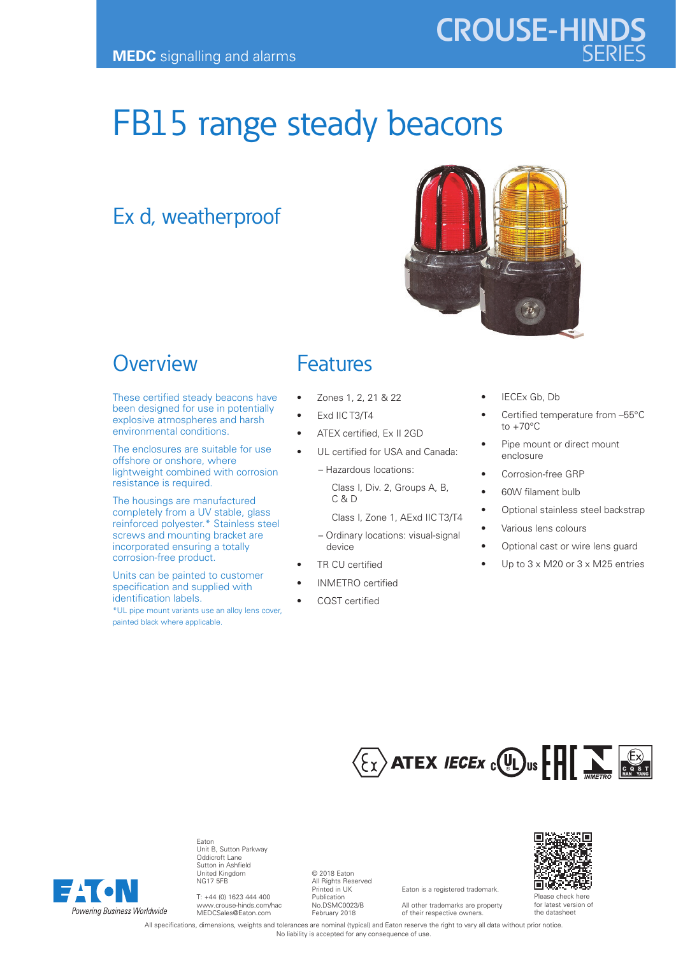# **CROUSE-HINDS**

## FB15 range steady beacons

## Ex d, weatherproof



## **Overview**

These certified steady beacons have been designed for use in potentially explosive atmospheres and harsh environmental conditions.

The enclosures are suitable for use offshore or onshore, where lightweight combined with corrosion resistance is required.

The housings are manufactured completely from a UV stable, glass reinforced polyester.\* Stainless steel screws and mounting bracket are incorporated ensuring a totally corrosion-free product.

Units can be painted to customer specification and supplied with identification labels. \*UL pipe mount variants use an alloy lens cover, painted black where applicable.

## Features

- Zones 1, 2, 21 & 22
- Exd IIC T3/T4
- ATEX certified, Ex II 2GD
- UL certified for USA and Canada:
	- Hazardous locations:

 Class I, Div. 2, Groups A, B, C & D

- Class I, Zone 1, AExd IIC T3/T4
- Ordinary locations: visual-signal device
- TR CU certified
- INMETRO certified
- COST certified
- IECEx Gb, Db
- Certified temperature from -55°C to +70°C
- Pipe mount or direct mount enclosure
- Corrosion-free GRP
- 60W filament bulb
- Optional stainless steel backstrap
- Various lens colours
- Optional cast or wire lens guard
- Up to  $3 \times M20$  or  $3 \times M25$  entries





Eaton Unit B, Sutton Parkway Oddicroft Lane Sutton in Ashfield United Kingdom NG17 5FB

T: +44 (0) 1623 444 400 www.crouse-hinds.com/hac MEDCSales@Eaton.com

© 2018 Eaton All Rights Reserved Printed in UK Publication No.DSMC0023/B February 2018

Eaton is a registered trademark. All other trademarks are property

of their respective owners.



for latest version of the datasheet

All specifications, dimensions, weights and tolerances are nominal (typical) and Eaton reserve the right to vary all data without prior notice. No liability is accepted for any consequence of use.